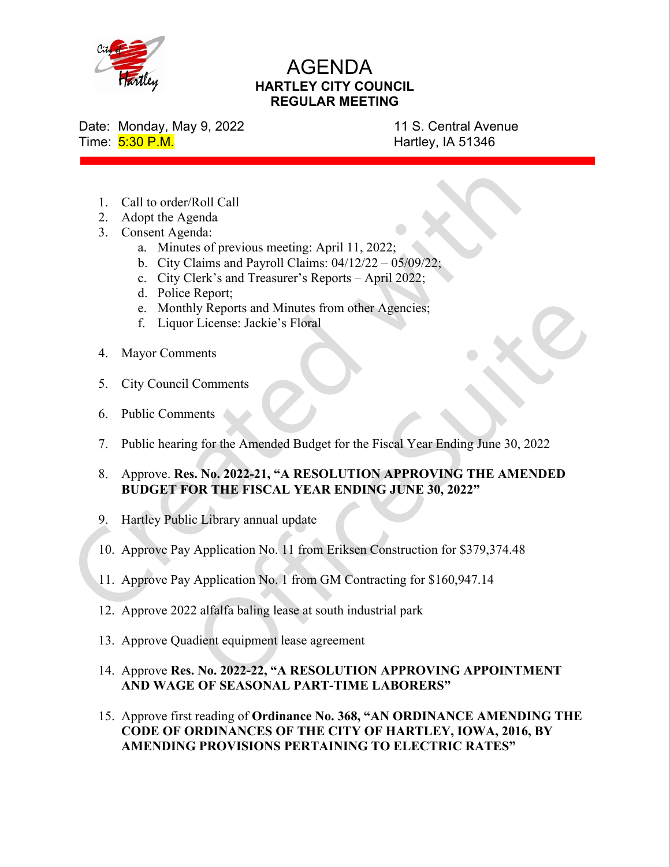

## AGENDA HARTLEY CITY COUNCIL REGULAR MEETING

Date: Monday, May 9, 2022 11 S. Central Avenue Time: 5:30 P.M. **Hartley, IA 51346** 

- 1. Call to order/Roll Call
- 2. Adopt the Agenda
- 3. Consent Agenda:
	- a. Minutes of previous meeting: April 11, 2022;
	- b. City Claims and Payroll Claims: 04/12/22 05/09/22;
	- c. City Clerk's and Treasurer's Reports April 2022;
	- d. Police Report;
	- e. Monthly Reports and Minutes from other Agencies;
	- f. Liquor License: Jackie's Floral
- 4. Mayor Comments
- 5. City Council Comments
- 6. Public Comments
- 7. Public hearing for the Amended Budget for the Fiscal Year Ending June 30, 2022
- 8. Approve. Res. No. 2022-21, "A RESOLUTION APPROVING THE AMENDED BUDGET FOR THE FISCAL YEAR ENDING JUNE 30, 2022"
- 9. Hartley Public Library annual update
- 10. Approve Pay Application No. 11 from Eriksen Construction for \$379,374.48
- 11. Approve Pay Application No. 1 from GM Contracting for \$160,947.14
- 12. Approve 2022 alfalfa baling lease at south industrial park
- 13. Approve Quadient equipment lease agreement
- 14. Approve Res. No. 2022-22, "A RESOLUTION APPROVING APPOINTMENT AND WAGE OF SEASONAL PART-TIME LABORERS"
- 15. Approve first reading of Ordinance No. 368, "AN ORDINANCE AMENDING THE CODE OF ORDINANCES OF THE CITY OF HARTLEY, IOWA, 2016, BY AMENDING PROVISIONS PERTAINING TO ELECTRIC RATES"